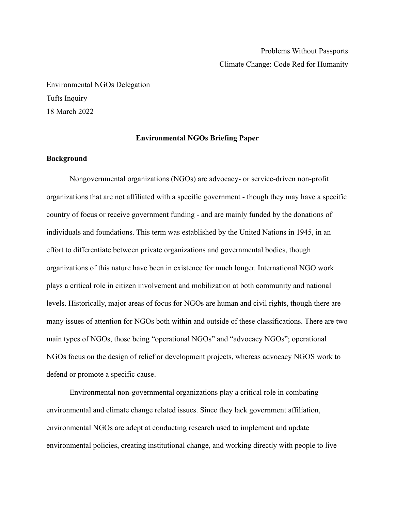Environmental NGOs Delegation Tufts Inquiry 18 March 2022

### **Environmental NGOs Briefing Paper**

### **Background**

Nongovernmental organizations (NGOs) are advocacy- or service-driven non-profit organizations that are not affiliated with a specific government - though they may have a specific country of focus or receive government funding - and are mainly funded by the donations of individuals and foundations. This term was established by the United Nations in 1945, in an effort to differentiate between private organizations and governmental bodies, though organizations of this nature have been in existence for much longer. International NGO work plays a critical role in citizen involvement and mobilization at both community and national levels. Historically, major areas of focus for NGOs are human and civil rights, though there are many issues of attention for NGOs both within and outside of these classifications. There are two main types of NGOs, those being "operational NGOs" and "advocacy NGOs"; operational NGOs focus on the design of relief or development projects, whereas advocacy NGOS work to defend or promote a specific cause.

Environmental non-governmental organizations play a critical role in combating environmental and climate change related issues. Since they lack government affiliation, environmental NGOs are adept at conducting research used to implement and update environmental policies, creating institutional change, and working directly with people to live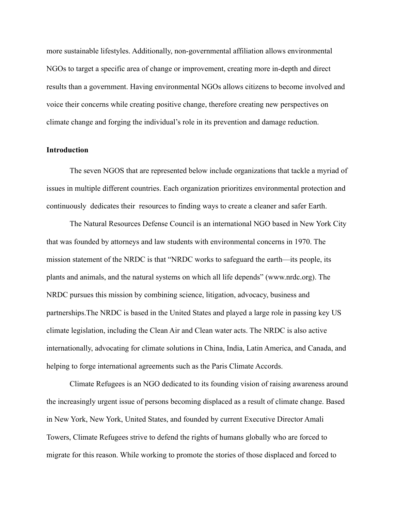more sustainable lifestyles. Additionally, non-governmental affiliation allows environmental NGOs to target a specific area of change or improvement, creating more in-depth and direct results than a government. Having environmental NGOs allows citizens to become involved and voice their concerns while creating positive change, therefore creating new perspectives on climate change and forging the individual's role in its prevention and damage reduction.

### **Introduction**

The seven NGOS that are represented below include organizations that tackle a myriad of issues in multiple different countries. Each organization prioritizes environmental protection and continuously dedicates their resources to finding ways to create a cleaner and safer Earth.

The Natural Resources Defense Council is an international NGO based in New York City that was founded by attorneys and law students with environmental concerns in 1970. The mission statement of the NRDC is that "NRDC works to safeguard the earth—its people, its plants and animals, and the natural systems on which all life depends" ([www.nrdc.org\)](http://www.nrdc.org). The NRDC pursues this mission by combining science, litigation, advocacy, business and partnerships.The NRDC is based in the United States and played a large role in passing key US climate legislation, including the Clean Air and Clean water acts. The NRDC is also active internationally, advocating for climate solutions in China, India, Latin America, and Canada, and helping to forge international agreements such as the Paris Climate Accords.

Climate Refugees is an NGO dedicated to its founding vision of raising awareness around the increasingly urgent issue of persons becoming displaced as a result of climate change. Based in New York, New York, United States, and founded by current Executive Director Amali Towers, Climate Refugees strive to defend the rights of humans globally who are forced to migrate for this reason. While working to promote the stories of those displaced and forced to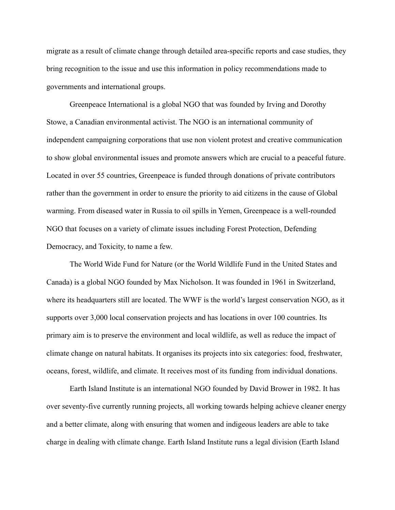migrate as a result of climate change through detailed area-specific reports and case studies, they bring recognition to the issue and use this information in policy recommendations made to governments and international groups.

Greenpeace International is a global NGO that was founded by Irving and Dorothy Stowe, a Canadian environmental activist. The NGO is an international community of independent campaigning corporations that use non violent protest and creative communication to show global environmental issues and promote answers which are crucial to a peaceful future. Located in over 55 countries, Greenpeace is funded through donations of private contributors rather than the government in order to ensure the priority to aid citizens in the cause of Global warming. From diseased water in Russia to oil spills in Yemen, Greenpeace is a well-rounded NGO that focuses on a variety of climate issues including Forest Protection, Defending Democracy, and Toxicity, to name a few.

The World Wide Fund for Nature (or the World Wildlife Fund in the United States and Canada) is a global NGO founded by Max Nicholson. It was founded in 1961 in Switzerland, where its headquarters still are located. The WWF is the world's largest conservation NGO, as it supports over 3,000 local conservation projects and has locations in over 100 countries. Its primary aim is to preserve the environment and local wildlife, as well as reduce the impact of climate change on natural habitats. It organises its projects into six categories: food, freshwater, oceans, forest, wildlife, and climate. It receives most of its funding from individual donations.

Earth Island Institute is an international NGO founded by David Brower in 1982. It has over seventy-five currently running projects, all working towards helping achieve cleaner energy and a better climate, along with ensuring that women and indigeous leaders are able to take charge in dealing with climate change. Earth Island Institute runs a legal division (Earth Island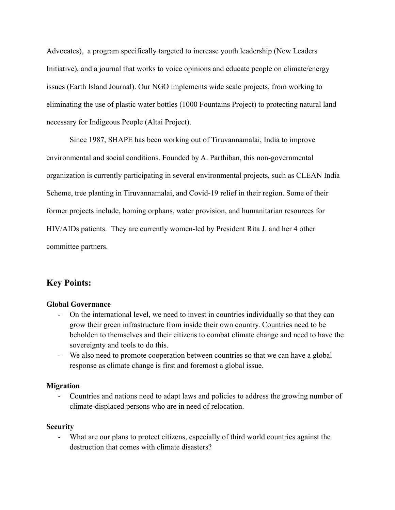Advocates), a program specifically targeted to increase youth leadership (New Leaders Initiative), and a journal that works to voice opinions and educate people on climate/energy issues (Earth Island Journal). Our NGO implements wide scale projects, from working to eliminating the use of plastic water bottles (1000 Fountains Project) to protecting natural land necessary for Indigeous People (Altai Project).

Since 1987, SHAPE has been working out of Tiruvannamalai, India to improve environmental and social conditions. Founded by A. Parthiban, this non-governmental organization is currently participating in several environmental projects, such as CLEAN India Scheme, tree planting in Tiruvannamalai, and Covid-19 relief in their region. Some of their former projects include, homing orphans, water provision, and humanitarian resources for HIV/AIDs patients. They are currently women-led by President Rita J. and her 4 other committee partners.

# **Key Points:**

# **Global Governance**

- On the international level, we need to invest in countries individually so that they can grow their green infrastructure from inside their own country. Countries need to be beholden to themselves and their citizens to combat climate change and need to have the sovereignty and tools to do this.
- We also need to promote cooperation between countries so that we can have a global response as climate change is first and foremost a global issue.

## **Migration**

- Countries and nations need to adapt laws and policies to address the growing number of climate-displaced persons who are in need of relocation.

## **Security**

- What are our plans to protect citizens, especially of third world countries against the destruction that comes with climate disasters?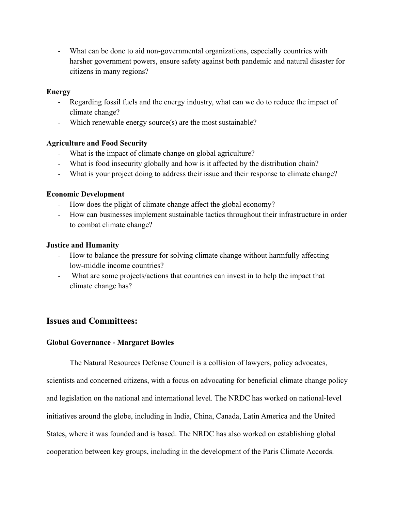- What can be done to aid non-governmental organizations, especially countries with harsher government powers, ensure safety against both pandemic and natural disaster for citizens in many regions?

## **Energy**

- Regarding fossil fuels and the energy industry, what can we do to reduce the impact of climate change?
- Which renewable energy source(s) are the most sustainable?

# **Agriculture and Food Security**

- What is the impact of climate change on global agriculture?
- What is food insecurity globally and how is it affected by the distribution chain?
- What is your project doing to address their issue and their response to climate change?

# **Economic Development**

- How does the plight of climate change affect the global economy?
- How can businesses implement sustainable tactics throughout their infrastructure in order to combat climate change?

# **Justice and Humanity**

- How to balance the pressure for solving climate change without harmfully affecting low-middle income countries?
- What are some projects/actions that countries can invest in to help the impact that climate change has?

# **Issues and Committees:**

# **Global Governance - Margaret Bowles**

The Natural Resources Defense Council is a collision of lawyers, policy advocates,

scientists and concerned citizens, with a focus on advocating for beneficial climate change policy and legislation on the national and international level. The NRDC has worked on national-level initiatives around the globe, including in India, China, Canada, Latin America and the United States, where it was founded and is based. The NRDC has also worked on establishing global cooperation between key groups, including in the development of the Paris Climate Accords.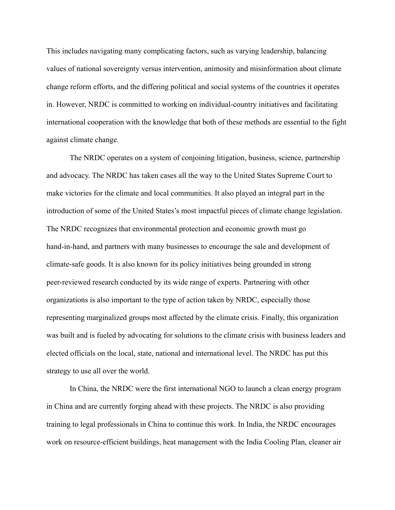This includes navigating many complicating factors, such as varying leadership, balancing values of national sovereignty versus intervention, animosity and misinformation about climate change reform efforts, and the differing political and social systems of the countries it operates in. However, NRDC is committed to working on individual-country initiatives and facilitating international cooperation with the knowledge that both of these methods are essential to the fight against climate change.

The NRDC operates on a system of conjoining litigation, business, science, partnership and advocacy. The NRDC has taken cases all the way to the United States Supreme Court to make victories for the climate and local communities. It also played an integral part in the introduction of some of the United States's most impactful pieces of climate change legislation. The NRDC recognizes that environmental protection and economic growth must go hand-in-hand, and partners with many businesses to encourage the sale and development of climate-safe goods. It is also known for its policy initiatives being grounded in strong peer-reviewed research conducted by its wide range of experts. Partnering with other organizations is also important to the type of action taken by NRDC, especially those representing marginalized groups most affected by the climate crisis. Finally, this organization was built and is fueled by advocating for solutions to the climate crisis with business leaders and elected officials on the local, state, national and international level. The NRDC has put this strategy to use all over the world.

In China, the NRDC were the first international NGO to launch a clean energy program in China and are currently forging ahead with these projects. The NRDC is also providing training to legal professionals in China to continue this work. In India, the NRDC encourages work on resource-efficient buildings, heat management with the India Cooling Plan, cleaner air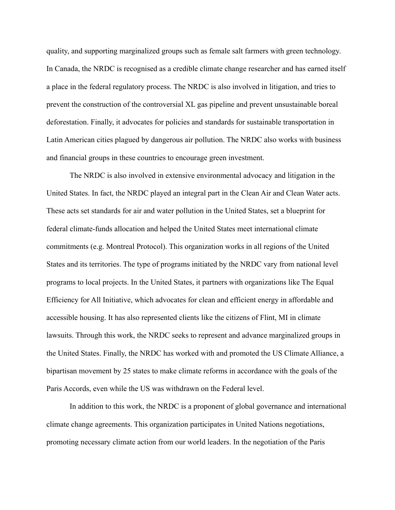quality, and supporting marginalized groups such as female salt farmers with green technology. In Canada, the NRDC is recognised as a credible climate change researcher and has earned itself a place in the federal regulatory process. The NRDC is also involved in litigation, and tries to prevent the construction of the controversial XL gas pipeline and prevent unsustainable boreal deforestation. Finally, it advocates for policies and standards for sustainable transportation in Latin American cities plagued by dangerous air pollution. The NRDC also works with business and financial groups in these countries to encourage green investment.

The NRDC is also involved in extensive environmental advocacy and litigation in the United States. In fact, the NRDC played an integral part in the Clean Air and Clean Water acts. These acts set standards for air and water pollution in the United States, set a blueprint for federal climate-funds allocation and helped the United States meet international climate commitments (e.g. Montreal Protocol). This organization works in all regions of the United States and its territories. The type of programs initiated by the NRDC vary from national level programs to local projects. In the United States, it partners with organizations like The Equal Efficiency for All Initiative, which advocates for clean and efficient energy in affordable and accessible housing. It has also represented clients like the citizens of Flint, MI in climate lawsuits. Through this work, the NRDC seeks to represent and advance marginalized groups in the United States. Finally, the NRDC has worked with and promoted the US Climate Alliance, a bipartisan movement by 25 states to make climate reforms in accordance with the goals of the Paris Accords, even while the US was withdrawn on the Federal level.

In addition to this work, the NRDC is a proponent of global governance and international climate change agreements. This organization participates in United Nations negotiations, promoting necessary climate action from our world leaders. In the negotiation of the Paris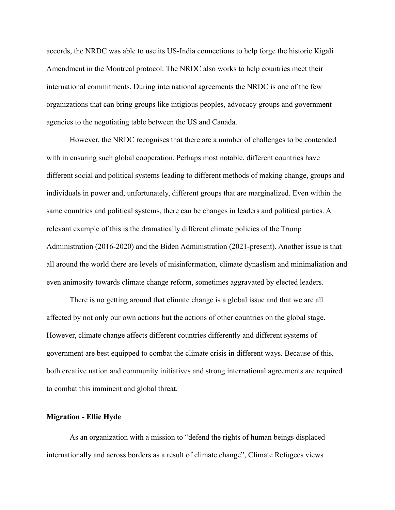accords, the NRDC was able to use its US-India connections to help forge the historic Kigali Amendment in the Montreal protocol. The NRDC also works to help countries meet their international commitments. During international agreements the NRDC is one of the few organizations that can bring groups like intigious peoples, advocacy groups and government agencies to the negotiating table between the US and Canada.

However, the NRDC recognises that there are a number of challenges to be contended with in ensuring such global cooperation. Perhaps most notable, different countries have different social and political systems leading to different methods of making change, groups and individuals in power and, unfortunately, different groups that are marginalized. Even within the same countries and political systems, there can be changes in leaders and political parties. A relevant example of this is the dramatically different climate policies of the Trump Administration (2016-2020) and the Biden Administration (2021-present). Another issue is that all around the world there are levels of misinformation, climate dynaslism and minimaliation and even animosity towards climate change reform, sometimes aggravated by elected leaders.

There is no getting around that climate change is a global issue and that we are all affected by not only our own actions but the actions of other countries on the global stage. However, climate change affects different countries differently and different systems of government are best equipped to combat the climate crisis in different ways. Because of this, both creative nation and community initiatives and strong international agreements are required to combat this imminent and global threat.

### **Migration - Ellie Hyde**

As an organization with a mission to "defend the rights of human beings displaced internationally and across borders as a result of climate change", Climate Refugees views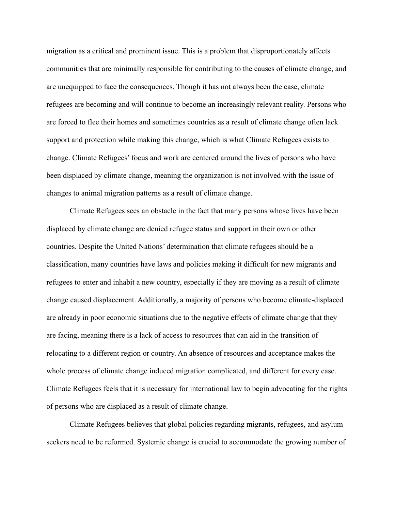migration as a critical and prominent issue. This is a problem that disproportionately affects communities that are minimally responsible for contributing to the causes of climate change, and are unequipped to face the consequences. Though it has not always been the case, climate refugees are becoming and will continue to become an increasingly relevant reality. Persons who are forced to flee their homes and sometimes countries as a result of climate change often lack support and protection while making this change, which is what Climate Refugees exists to change. Climate Refugees' focus and work are centered around the lives of persons who have been displaced by climate change, meaning the organization is not involved with the issue of changes to animal migration patterns as a result of climate change.

Climate Refugees sees an obstacle in the fact that many persons whose lives have been displaced by climate change are denied refugee status and support in their own or other countries. Despite the United Nations' determination that climate refugees should be a classification, many countries have laws and policies making it difficult for new migrants and refugees to enter and inhabit a new country, especially if they are moving as a result of climate change caused displacement. Additionally, a majority of persons who become climate-displaced are already in poor economic situations due to the negative effects of climate change that they are facing, meaning there is a lack of access to resources that can aid in the transition of relocating to a different region or country. An absence of resources and acceptance makes the whole process of climate change induced migration complicated, and different for every case. Climate Refugees feels that it is necessary for international law to begin advocating for the rights of persons who are displaced as a result of climate change.

Climate Refugees believes that global policies regarding migrants, refugees, and asylum seekers need to be reformed. Systemic change is crucial to accommodate the growing number of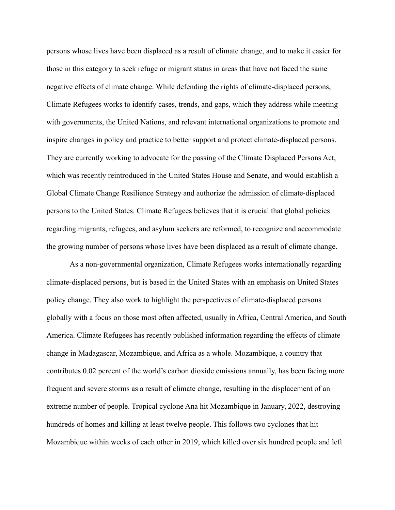persons whose lives have been displaced as a result of climate change, and to make it easier for those in this category to seek refuge or migrant status in areas that have not faced the same negative effects of climate change. While defending the rights of climate-displaced persons, Climate Refugees works to identify cases, trends, and gaps, which they address while meeting with governments, the United Nations, and relevant international organizations to promote and inspire changes in policy and practice to better support and protect climate-displaced persons. They are currently working to advocate for the passing of the Climate Displaced Persons Act, which was recently reintroduced in the United States House and Senate, and would establish a Global Climate Change Resilience Strategy and authorize the admission of climate-displaced persons to the United States. Climate Refugees believes that it is crucial that global policies regarding migrants, refugees, and asylum seekers are reformed, to recognize and accommodate the growing number of persons whose lives have been displaced as a result of climate change.

As a non-governmental organization, Climate Refugees works internationally regarding climate-displaced persons, but is based in the United States with an emphasis on United States policy change. They also work to highlight the perspectives of climate-displaced persons globally with a focus on those most often affected, usually in Africa, Central America, and South America. Climate Refugees has recently published information regarding the effects of climate change in Madagascar, Mozambique, and Africa as a whole. Mozambique, a country that contributes 0.02 percent of the world's carbon dioxide emissions annually, has been facing more frequent and severe storms as a result of climate change, resulting in the displacement of an extreme number of people. Tropical cyclone Ana hit Mozambique in January, 2022, destroying hundreds of homes and killing at least twelve people. This follows two cyclones that hit Mozambique within weeks of each other in 2019, which killed over six hundred people and left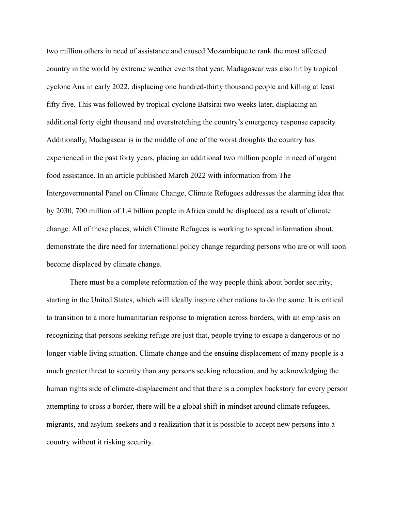two million others in need of assistance and caused Mozambique to rank the most affected country in the world by extreme weather events that year. Madagascar was also hit by tropical cyclone Ana in early 2022, displacing one hundred-thirty thousand people and killing at least fifty five. This was followed by tropical cyclone Batsirai two weeks later, displacing an additional forty eight thousand and overstretching the country's emergency response capacity. Additionally, Madagascar is in the middle of one of the worst droughts the country has experienced in the past forty years, placing an additional two million people in need of urgent food assistance. In an article published March 2022 with information from The Intergovernmental Panel on Climate Change, Climate Refugees addresses the alarming idea that by 2030, 700 million of 1.4 billion people in Africa could be displaced as a result of climate change. All of these places, which Climate Refugees is working to spread information about, demonstrate the dire need for international policy change regarding persons who are or will soon become displaced by climate change.

There must be a complete reformation of the way people think about border security, starting in the United States, which will ideally inspire other nations to do the same. It is critical to transition to a more humanitarian response to migration across borders, with an emphasis on recognizing that persons seeking refuge are just that, people trying to escape a dangerous or no longer viable living situation. Climate change and the ensuing displacement of many people is a much greater threat to security than any persons seeking relocation, and by acknowledging the human rights side of climate-displacement and that there is a complex backstory for every person attempting to cross a border, there will be a global shift in mindset around climate refugees, migrants, and asylum-seekers and a realization that it is possible to accept new persons into a country without it risking security.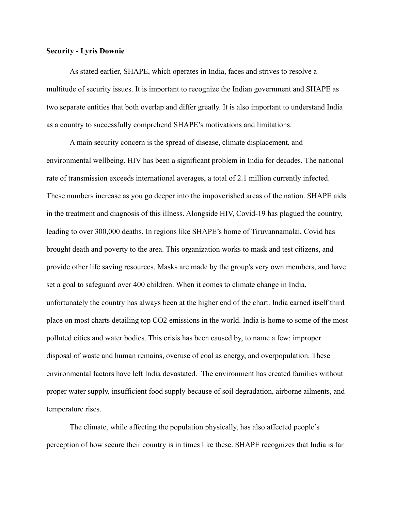### **Security - Lyris Downie**

As stated earlier, SHAPE, which operates in India, faces and strives to resolve a multitude of security issues. It is important to recognize the Indian government and SHAPE as two separate entities that both overlap and differ greatly. It is also important to understand India as a country to successfully comprehend SHAPE's motivations and limitations.

A main security concern is the spread of disease, climate displacement, and environmental wellbeing. HIV has been a significant problem in India for decades. The national rate of transmission exceeds international averages, a total of 2.1 million currently infected. These numbers increase as you go deeper into the impoverished areas of the nation. SHAPE aids in the treatment and diagnosis of this illness. Alongside HIV, Covid-19 has plagued the country, leading to over 300,000 deaths. In regions like SHAPE's home of Tiruvannamalai, Covid has brought death and poverty to the area. This organization works to mask and test citizens, and provide other life saving resources. Masks are made by the group's very own members, and have set a goal to safeguard over 400 children. When it comes to climate change in India, unfortunately the country has always been at the higher end of the chart. India earned itself third place on most charts detailing top CO2 emissions in the world. India is home to some of the most polluted cities and water bodies. This crisis has been caused by, to name a few: improper disposal of waste and human remains, overuse of coal as energy, and overpopulation. These environmental factors have left India devastated. The environment has created families without proper water supply, insufficient food supply because of soil degradation, airborne ailments, and temperature rises.

The climate, while affecting the population physically, has also affected people's perception of how secure their country is in times like these. SHAPE recognizes that India is far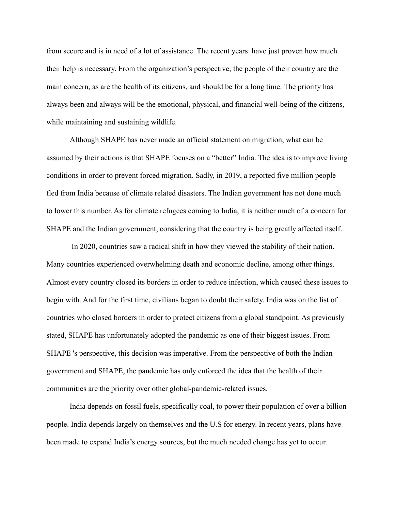from secure and is in need of a lot of assistance. The recent years have just proven how much their help is necessary. From the organization's perspective, the people of their country are the main concern, as are the health of its citizens, and should be for a long time. The priority has always been and always will be the emotional, physical, and financial well-being of the citizens, while maintaining and sustaining wildlife.

Although SHAPE has never made an official statement on migration, what can be assumed by their actions is that SHAPE focuses on a "better" India. The idea is to improve living conditions in order to prevent forced migration. Sadly, in 2019, a reported five million people fled from India because of climate related disasters. The Indian government has not done much to lower this number. As for climate refugees coming to India, it is neither much of a concern for SHAPE and the Indian government, considering that the country is being greatly affected itself.

In 2020, countries saw a radical shift in how they viewed the stability of their nation. Many countries experienced overwhelming death and economic decline, among other things. Almost every country closed its borders in order to reduce infection, which caused these issues to begin with. And for the first time, civilians began to doubt their safety. India was on the list of countries who closed borders in order to protect citizens from a global standpoint. As previously stated, SHAPE has unfortunately adopted the pandemic as one of their biggest issues. From SHAPE 's perspective, this decision was imperative. From the perspective of both the Indian government and SHAPE, the pandemic has only enforced the idea that the health of their communities are the priority over other global-pandemic-related issues.

India depends on fossil fuels, specifically coal, to power their population of over a billion people. India depends largely on themselves and the U.S for energy. In recent years, plans have been made to expand India's energy sources, but the much needed change has yet to occur.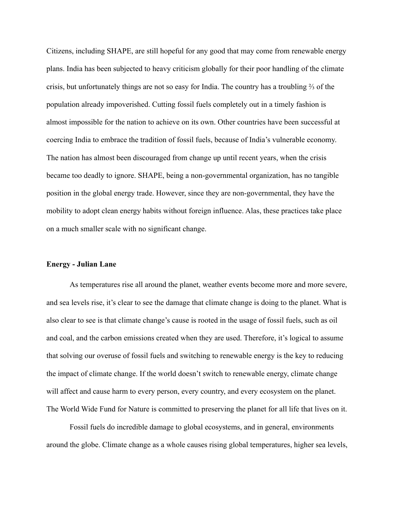Citizens, including SHAPE, are still hopeful for any good that may come from renewable energy plans. India has been subjected to heavy criticism globally for their poor handling of the climate crisis, but unfortunately things are not so easy for India. The country has a troubling ⅔ of the population already impoverished. Cutting fossil fuels completely out in a timely fashion is almost impossible for the nation to achieve on its own. Other countries have been successful at coercing India to embrace the tradition of fossil fuels, because of India's vulnerable economy. The nation has almost been discouraged from change up until recent years, when the crisis became too deadly to ignore. SHAPE, being a non-governmental organization, has no tangible position in the global energy trade. However, since they are non-governmental, they have the mobility to adopt clean energy habits without foreign influence. Alas, these practices take place on a much smaller scale with no significant change.

#### **Energy - Julian Lane**

As temperatures rise all around the planet, weather events become more and more severe, and sea levels rise, it's clear to see the damage that climate change is doing to the planet. What is also clear to see is that climate change's cause is rooted in the usage of fossil fuels, such as oil and coal, and the carbon emissions created when they are used. Therefore, it's logical to assume that solving our overuse of fossil fuels and switching to renewable energy is the key to reducing the impact of climate change. If the world doesn't switch to renewable energy, climate change will affect and cause harm to every person, every country, and every ecosystem on the planet. The World Wide Fund for Nature is committed to preserving the planet for all life that lives on it.

Fossil fuels do incredible damage to global ecosystems, and in general, environments around the globe. Climate change as a whole causes rising global temperatures, higher sea levels,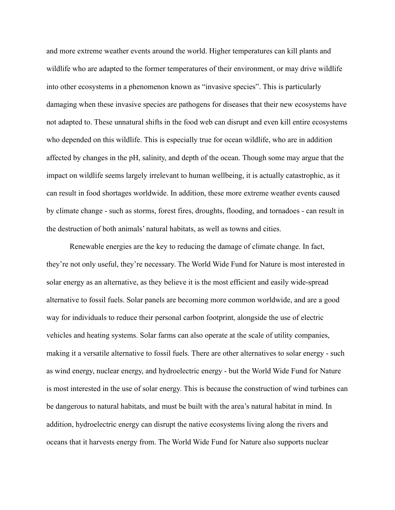and more extreme weather events around the world. Higher temperatures can kill plants and wildlife who are adapted to the former temperatures of their environment, or may drive wildlife into other ecosystems in a phenomenon known as "invasive species". This is particularly damaging when these invasive species are pathogens for diseases that their new ecosystems have not adapted to. These unnatural shifts in the food web can disrupt and even kill entire ecosystems who depended on this wildlife. This is especially true for ocean wildlife, who are in addition affected by changes in the pH, salinity, and depth of the ocean. Though some may argue that the impact on wildlife seems largely irrelevant to human wellbeing, it is actually catastrophic, as it can result in food shortages worldwide. In addition, these more extreme weather events caused by climate change - such as storms, forest fires, droughts, flooding, and tornadoes - can result in the destruction of both animals' natural habitats, as well as towns and cities.

Renewable energies are the key to reducing the damage of climate change. In fact, they're not only useful, they're necessary. The World Wide Fund for Nature is most interested in solar energy as an alternative, as they believe it is the most efficient and easily wide-spread alternative to fossil fuels. Solar panels are becoming more common worldwide, and are a good way for individuals to reduce their personal carbon footprint, alongside the use of electric vehicles and heating systems. Solar farms can also operate at the scale of utility companies, making it a versatile alternative to fossil fuels. There are other alternatives to solar energy - such as wind energy, nuclear energy, and hydroelectric energy - but the World Wide Fund for Nature is most interested in the use of solar energy. This is because the construction of wind turbines can be dangerous to natural habitats, and must be built with the area's natural habitat in mind. In addition, hydroelectric energy can disrupt the native ecosystems living along the rivers and oceans that it harvests energy from. The World Wide Fund for Nature also supports nuclear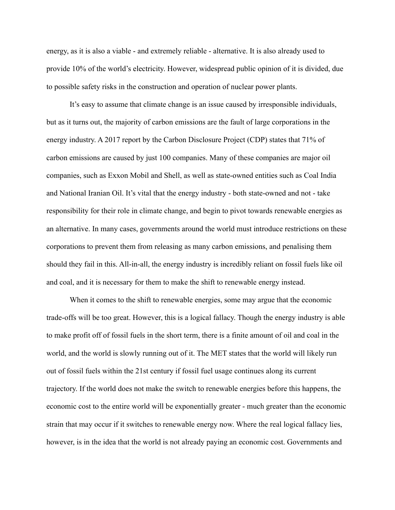energy, as it is also a viable - and extremely reliable - alternative. It is also already used to provide 10% of the world's electricity. However, widespread public opinion of it is divided, due to possible safety risks in the construction and operation of nuclear power plants.

It's easy to assume that climate change is an issue caused by irresponsible individuals, but as it turns out, the majority of carbon emissions are the fault of large corporations in the energy industry. A 2017 report by the Carbon Disclosure Project (CDP) states that 71% of carbon emissions are caused by just 100 companies. Many of these companies are major oil companies, such as Exxon Mobil and Shell, as well as state-owned entities such as Coal India and National Iranian Oil. It's vital that the energy industry - both state-owned and not - take responsibility for their role in climate change, and begin to pivot towards renewable energies as an alternative. In many cases, governments around the world must introduce restrictions on these corporations to prevent them from releasing as many carbon emissions, and penalising them should they fail in this. All-in-all, the energy industry is incredibly reliant on fossil fuels like oil and coal, and it is necessary for them to make the shift to renewable energy instead.

When it comes to the shift to renewable energies, some may argue that the economic trade-offs will be too great. However, this is a logical fallacy. Though the energy industry is able to make profit off of fossil fuels in the short term, there is a finite amount of oil and coal in the world, and the world is slowly running out of it. The MET states that the world will likely run out of fossil fuels within the 21st century if fossil fuel usage continues along its current trajectory. If the world does not make the switch to renewable energies before this happens, the economic cost to the entire world will be exponentially greater - much greater than the economic strain that may occur if it switches to renewable energy now. Where the real logical fallacy lies, however, is in the idea that the world is not already paying an economic cost. Governments and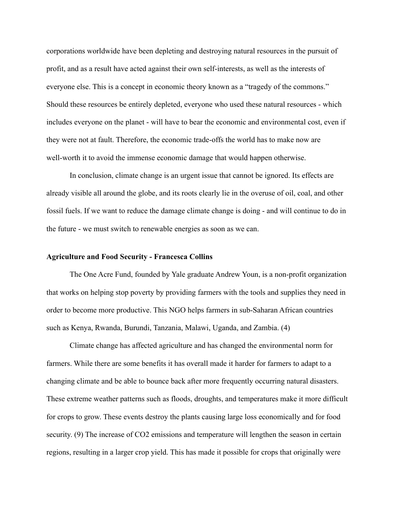corporations worldwide have been depleting and destroying natural resources in the pursuit of profit, and as a result have acted against their own self-interests, as well as the interests of everyone else. This is a concept in economic theory known as a "tragedy of the commons." Should these resources be entirely depleted, everyone who used these natural resources - which includes everyone on the planet - will have to bear the economic and environmental cost, even if they were not at fault. Therefore, the economic trade-offs the world has to make now are well-worth it to avoid the immense economic damage that would happen otherwise.

In conclusion, climate change is an urgent issue that cannot be ignored. Its effects are already visible all around the globe, and its roots clearly lie in the overuse of oil, coal, and other fossil fuels. If we want to reduce the damage climate change is doing - and will continue to do in the future - we must switch to renewable energies as soon as we can.

### **Agriculture and Food Security - Francesca Collins**

The One Acre Fund, founded by Yale graduate Andrew Youn, is a non-profit organization that works on helping stop poverty by providing farmers with the tools and supplies they need in order to become more productive. This NGO helps farmers in sub-Saharan African countries such as Kenya, Rwanda, Burundi, Tanzania, Malawi, Uganda, and Zambia. (4)

Climate change has affected agriculture and has changed the environmental norm for farmers. While there are some benefits it has overall made it harder for farmers to adapt to a changing climate and be able to bounce back after more frequently occurring natural disasters. These extreme weather patterns such as floods, droughts, and temperatures make it more difficult for crops to grow. These events destroy the plants causing large loss economically and for food security. (9) The increase of CO2 emissions and temperature will lengthen the season in certain regions, resulting in a larger crop yield. This has made it possible for crops that originally were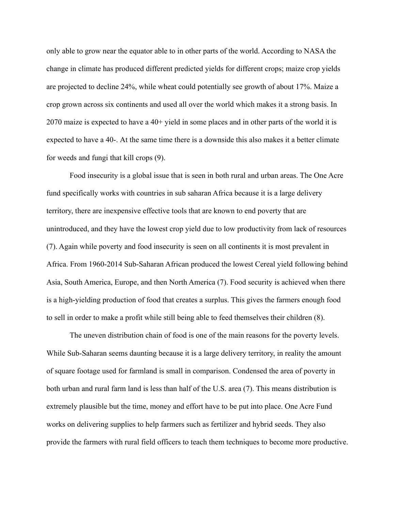only able to grow near the equator able to in other parts of the world. According to NASA the change in climate has produced different predicted yields for different crops; maize crop yields are projected to decline 24%, while wheat could potentially see growth of about 17%. Maize a crop grown across six continents and used all over the world which makes it a strong basis. In 2070 maize is expected to have a 40+ yield in some places and in other parts of the world it is expected to have a 40-. At the same time there is a downside this also makes it a better climate for weeds and fungi that kill crops (9).

Food insecurity is a global issue that is seen in both rural and urban areas. The One Acre fund specifically works with countries in sub saharan Africa because it is a large delivery territory, there are inexpensive effective tools that are known to end poverty that are unintroduced, and they have the lowest crop yield due to low productivity from lack of resources (7). Again while poverty and food insecurity is seen on all continents it is most prevalent in Africa. From 1960-2014 Sub-Saharan African produced the lowest Cereal yield following behind Asia, South America, Europe, and then North America (7). Food security is achieved when there is a high-yielding production of food that creates a surplus. This gives the farmers enough food to sell in order to make a profit while still being able to feed themselves their children (8).

The uneven distribution chain of food is one of the main reasons for the poverty levels. While Sub-Saharan seems daunting because it is a large delivery territory, in reality the amount of square footage used for farmland is small in comparison. Condensed the area of poverty in both urban and rural farm land is less than half of the U.S. area (7). This means distribution is extremely plausible but the time, money and effort have to be put into place. One Acre Fund works on delivering supplies to help farmers such as fertilizer and hybrid seeds. They also provide the farmers with rural field officers to teach them techniques to become more productive.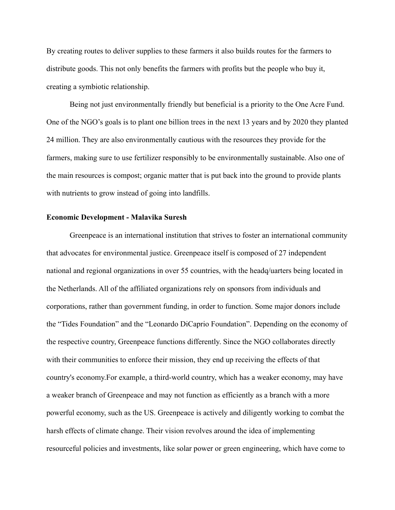By creating routes to deliver supplies to these farmers it also builds routes for the farmers to distribute goods. This not only benefits the farmers with profits but the people who buy it, creating a symbiotic relationship.

Being not just environmentally friendly but beneficial is a priority to the One Acre Fund. One of the NGO's goals is to plant one billion trees in the next 13 years and by 2020 they planted 24 million. They are also environmentally cautious with the resources they provide for the farmers, making sure to use fertilizer responsibly to be environmentally sustainable. Also one of the main resources is compost; organic matter that is put back into the ground to provide plants with nutrients to grow instead of going into landfills.

#### **Economic Development - Malavika Suresh**

Greenpeace is an international institution that strives to foster an international community that advocates for environmental justice. Greenpeace itself is composed of 27 independent national and regional organizations in over 55 countries, with the headq/uarters being located in the Netherlands. All of the affiliated organizations rely on sponsors from individuals and corporations, rather than government funding, in order to function. Some major donors include the "Tides Foundation" and the "Leonardo DiCaprio Foundation". Depending on the economy of the respective country, Greenpeace functions differently. Since the NGO collaborates directly with their communities to enforce their mission, they end up receiving the effects of that country's economy.For example, a third-world country, which has a weaker economy, may have a weaker branch of Greenpeace and may not function as efficiently as a branch with a more powerful economy, such as the US. Greenpeace is actively and diligently working to combat the harsh effects of climate change. Their vision revolves around the idea of implementing resourceful policies and investments, like solar power or green engineering, which have come to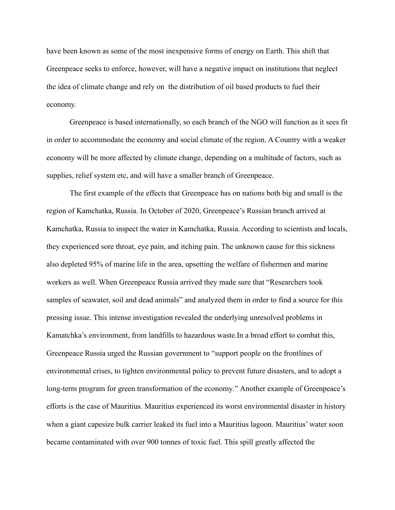have been known as some of the most inexpensive forms of energy on Earth. This shift that Greenpeace seeks to enforce, however, will have a negative impact on institutions that neglect the idea of climate change and rely on the distribution of oil based products to fuel their economy.

Greenpeace is based internationally, so each branch of the NGO will function as it sees fit in order to accommodate the economy and social climate of the region. A Country with a weaker economy will be more affected by climate change, depending on a multitude of factors, such as supplies, relief system etc, and will have a smaller branch of Greenpeace.

The first example of the effects that Greenpeace has on nations both big and small is the region of Kamchatka, Russia. In October of 2020, Greenpeace's Russian branch arrived at Kamchatka, Russia to inspect the water in Kamchatka, Russia. According to scientists and locals, they experienced sore throat, eye pain, and itching pain. The unknown cause for this sickness also depleted 95% of marine life in the area, upsetting the welfare of fishermen and marine workers as well. When Greenpeace Russia arrived they made sure that "Researchers took samples of seawater, soil and dead animals" and analyzed them in order to find a source for this pressing issue. This intense investigation revealed the underlying unresolved problems in Kamatchka's environment, from landfills to hazardous waste.In a broad effort to combat this, Greenpeace Russia urged the Russian government to "support people on the frontlines of environmental crises, to tighten environmental policy to prevent future disasters, and to adopt a [long-term program for green transformation of the economy.](https://greenpeace.ru/wp-content/uploads/2020/10/Russian-Green-Deal_Summary.pdf)" Another example of Greenpeace's efforts is the case of Mauritius. Mauritius experienced its worst environmental disaster in history when a giant capesize bulk carrier leaked its fuel into a Mauritius lagoon. Mauritius' water soon became contaminated with over 900 tonnes of toxic fuel. This spill greatly affected the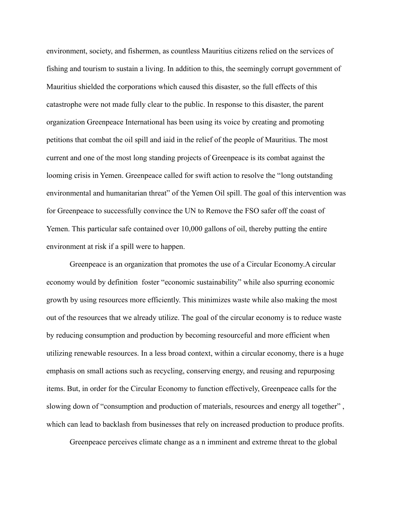environment, society, and fishermen, as countless Mauritius citizens relied on the services of fishing and tourism to sustain a living. In addition to this, the seemingly corrupt government of Mauritius shielded the corporations which caused this disaster, so the full effects of this catastrophe were not made fully clear to the public. In response to this disaster, the parent organization Greenpeace International has been using its voice by creating and promoting petitions that combat the oil spill and iaid in the relief of the people of Mauritius. The most current and one of the most long standing projects of Greenpeace is its combat against the looming crisis in Yemen. Greenpeace called for swift action to resolve the "long outstanding environmental and humanitarian threat" of the Yemen Oil spill. The goal of this intervention was for Greenpeace to successfully convince the UN to Remove the FSO safer off the coast of Yemen. This particular safe contained over 10,000 gallons of oil, thereby putting the entire environment at risk if a spill were to happen.

Greenpeace is an organization that promotes the use of a Circular Economy.A circular economy would by definition foster "economic sustainability" while also spurring economic growth by using resources more efficiently. This minimizes waste while also making the most out of the resources that we already utilize. The goal of the circular economy is to reduce waste by reducing consumption and production by becoming resourceful and more efficient when utilizing renewable resources. In a less broad context, within a circular economy, there is a huge emphasis on small actions such as recycling, conserving energy, and reusing and repurposing items. But, in order for the Circular Economy to function effectively, Greenpeace calls for the slowing down of "consumption and production of materials, resources and energy all together", which can lead to backlash from businesses that rely on increased production to produce profits.

Greenpeace perceives climate change as a n imminent and extreme threat to the global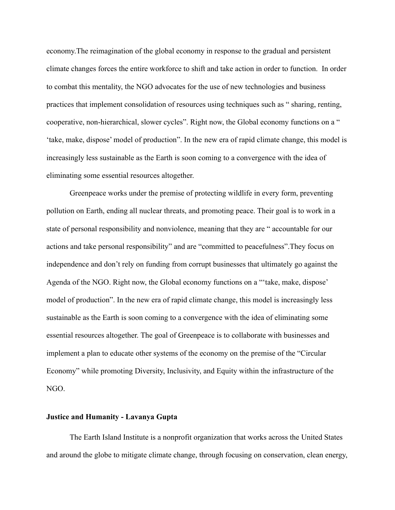economy.The reimagination of the global economy in response to the gradual and persistent climate changes forces the entire workforce to shift and take action in order to function. In order to combat this mentality, the NGO advocates for the use of new technologies and business practices that implement consolidation of resources using techniques such as " sharing, renting, cooperative, non-hierarchical, slower cycles". Right now, the Global economy functions on a " 'take, make, dispose' model of production". In the new era of rapid climate change, this model is increasingly less sustainable as the Earth is soon coming to a convergence with the idea of eliminating some essential resources altogether.

Greenpeace works under the premise of protecting wildlife in every form, preventing pollution on Earth, ending all nuclear threats, and promoting peace. Their goal is to work in a state of personal responsibility and nonviolence, meaning that they are " accountable for our actions and take personal responsibility" and are "committed to peacefulness".They focus on independence and don't rely on funding from corrupt businesses that ultimately go against the Agenda of the NGO. Right now, the Global economy functions on a "'take, make, dispose' model of production". In the new era of rapid climate change, this model is increasingly less sustainable as the Earth is soon coming to a convergence with the idea of eliminating some essential resources altogether. The goal of Greenpeace is to collaborate with businesses and implement a plan to educate other systems of the economy on the premise of the "Circular Economy" while promoting Diversity, Inclusivity, and Equity within the infrastructure of the NGO.

### **Justice and Humanity - Lavanya Gupta**

The Earth Island Institute is a nonprofit organization that works across the United States and around the globe to mitigate climate change, through focusing on conservation, clean energy,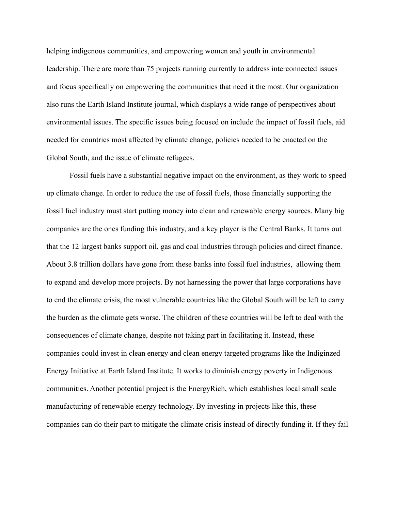helping indigenous communities, and empowering women and youth in environmental leadership. There are more than 75 projects running currently to address interconnected issues and focus specifically on empowering the communities that need it the most. Our organization also runs the Earth Island Institute journal, which displays a wide range of perspectives about environmental issues. The specific issues being focused on include the impact of fossil fuels, aid needed for countries most affected by climate change, policies needed to be enacted on the Global South, and the issue of climate refugees.

Fossil fuels have a substantial negative impact on the environment, as they work to speed up climate change. In order to reduce the use of fossil fuels, those financially supporting the fossil fuel industry must start putting money into clean and renewable energy sources. Many big companies are the ones funding this industry, and a key player is the Central Banks. It turns out that the 12 largest banks support oil, gas and coal industries through policies and direct finance. About 3.8 trillion dollars have gone from these banks into fossil fuel industries, allowing them to expand and develop more projects. By not harnessing the power that large corporations have to end the climate crisis, the most vulnerable countries like the Global South will be left to carry the burden as the climate gets worse. The children of these countries will be left to deal with the consequences of climate change, despite not taking part in facilitating it. Instead, these companies could invest in clean energy and clean energy targeted programs like the Indiginzed Energy Initiative at Earth Island Institute. It works to diminish energy poverty in Indigenous communities. Another potential project is the EnergyRich, which establishes local small scale manufacturing of renewable energy technology. By investing in projects like this, these companies can do their part to mitigate the climate crisis instead of directly funding it. If they fail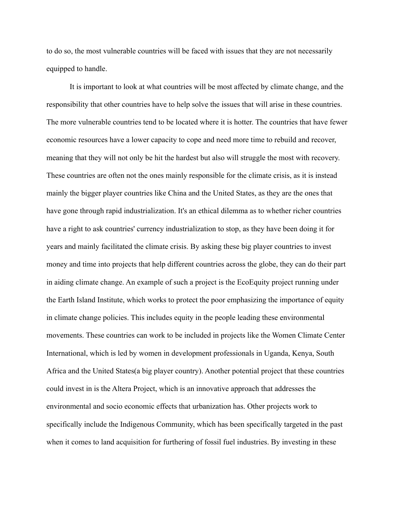to do so, the most vulnerable countries will be faced with issues that they are not necessarily equipped to handle.

It is important to look at what countries will be most affected by climate change, and the responsibility that other countries have to help solve the issues that will arise in these countries. The more vulnerable countries tend to be located where it is hotter. The countries that have fewer economic resources have a lower capacity to cope and need more time to rebuild and recover, meaning that they will not only be hit the hardest but also will struggle the most with recovery. These countries are often not the ones mainly responsible for the climate crisis, as it is instead mainly the bigger player countries like China and the United States, as they are the ones that have gone through rapid industrialization. It's an ethical dilemma as to whether richer countries have a right to ask countries' currency industrialization to stop, as they have been doing it for years and mainly facilitated the climate crisis. By asking these big player countries to invest money and time into projects that help different countries across the globe, they can do their part in aiding climate change. An example of such a project is the EcoEquity project running under the Earth Island Institute, which works to protect the poor emphasizing the importance of equity in climate change policies. This includes equity in the people leading these environmental movements. These countries can work to be included in projects like the Women Climate Center International, which is led by women in development professionals in Uganda, Kenya, South Africa and the United States(a big player country). Another potential project that these countries could invest in is the Altera Project, which is an innovative approach that addresses the environmental and socio economic effects that urbanization has. Other projects work to specifically include the Indigenous Community, which has been specifically targeted in the past when it comes to land acquisition for furthering of fossil fuel industries. By investing in these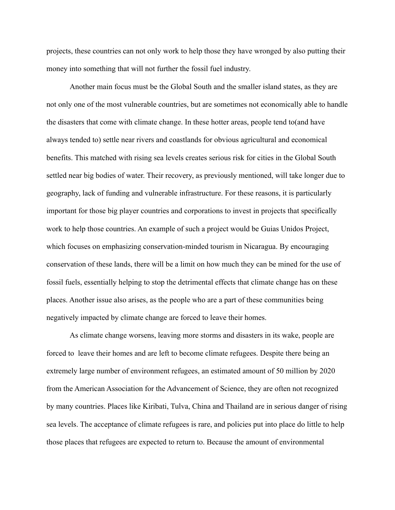projects, these countries can not only work to help those they have wronged by also putting their money into something that will not further the fossil fuel industry.

Another main focus must be the Global South and the smaller island states, as they are not only one of the most vulnerable countries, but are sometimes not economically able to handle the disasters that come with climate change. In these hotter areas, people tend to(and have always tended to) settle near rivers and coastlands for obvious agricultural and economical benefits. This matched with rising sea levels creates serious risk for cities in the Global South settled near big bodies of water. Their recovery, as previously mentioned, will take longer due to geography, lack of funding and vulnerable infrastructure. For these reasons, it is particularly important for those big player countries and corporations to invest in projects that specifically work to help those countries. An example of such a project would be Guias Unidos Project, which focuses on emphasizing conservation-minded tourism in Nicaragua. By encouraging conservation of these lands, there will be a limit on how much they can be mined for the use of fossil fuels, essentially helping to stop the detrimental effects that climate change has on these places. Another issue also arises, as the people who are a part of these communities being negatively impacted by climate change are forced to leave their homes.

As climate change worsens, leaving more storms and disasters in its wake, people are forced to leave their homes and are left to become climate refugees. Despite there being an extremely large number of environment refugees, an estimated amount of 50 million by 2020 from the American Association for the Advancement of Science, they are often not recognized by many countries. Places like Kiribati, Tulva, China and Thailand are in serious danger of rising sea levels. The acceptance of climate refugees is rare, and policies put into place do little to help those places that refugees are expected to return to. Because the amount of environmental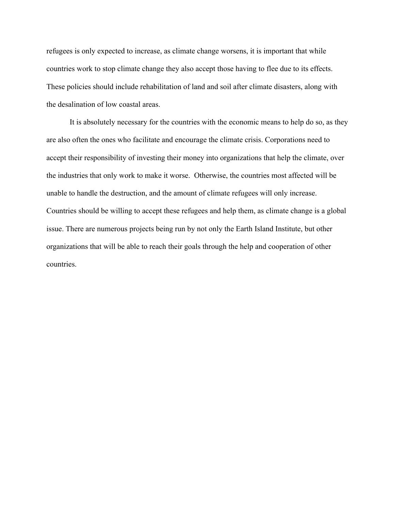refugees is only expected to increase, as climate change worsens, it is important that while countries work to stop climate change they also accept those having to flee due to its effects. These policies should include rehabilitation of land and soil after climate disasters, along with the desalination of low coastal areas.

It is absolutely necessary for the countries with the economic means to help do so, as they are also often the ones who facilitate and encourage the climate crisis. Corporations need to accept their responsibility of investing their money into organizations that help the climate, over the industries that only work to make it worse. Otherwise, the countries most affected will be unable to handle the destruction, and the amount of climate refugees will only increase. Countries should be willing to accept these refugees and help them, as climate change is a global issue. There are numerous projects being run by not only the Earth Island Institute, but other organizations that will be able to reach their goals through the help and cooperation of other countries.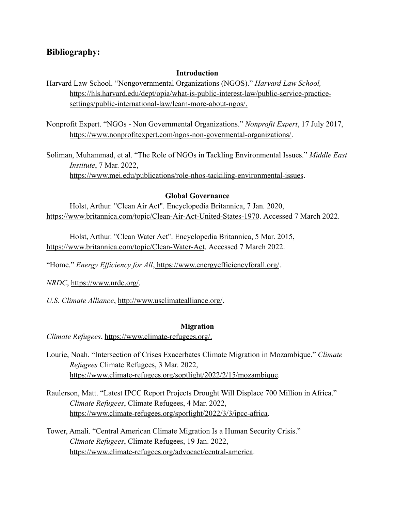# **Bibliography:**

## **Introduction**

Harvard Law School. "Nongovernmental Organizations (NGOS)." *Harvard Law School,* [https://hls.harvard.edu/dept/opia/what-is-public-interest-law/public-service-practice](https://hls.harvard.edu/dept/opia/what-is-public-interest-law/public-service-practice-)settings/public-international-law/learn-more-about-ngos/.

Nonprofit Expert. "NGOs - Non Governmental Organizations." *Nonprofit Expert*, 17 July 2017, [https://www.nonprofitexpert.com/ngos-non-govermental-organizations/.](https://www.nonprofitexpert.com/ngos-non-govermental-organizations/)

Soliman, Muhammad, et al. "The Role of NGOs in Tackling Environmental Issues." *Middle East Institute*, 7 Mar. 2022, https://www.mei.edu/publications/role-nhos-tackiling-environmental-issues.

# **Global Governance**

Holst, Arthur. "Clean Air Act". Encyclopedia Britannica, 7 Jan. 2020, https://www.britannica.com/topic/Clean-Air-Act-United-States-1970. Accessed 7 March 2022.

Holst, Arthur. "Clean Water Act". Encyclopedia Britannica, 5 Mar. 2015, https://www.britannica.com/topic/Clean-Water-Act. Accessed 7 March 2022.

"Home." *Energy Efficiency for All*, https://www.energyefficiencyforall.org/.

*NRDC*, https://www.nrdc.org/.

*U.S. Climate Alliance*, http://www.usclimatealliance.org/.

### **Migration**

*Climate Refugees*, [https://www.climate-refugees.org/.](https://www.climate-refugees.org/)

- Lourie, Noah. "Intersection of Crises Exacerbates Climate Migration in Mozambique." *Climate Refugees* Climate Refugees, 3 Mar. 2022, [https://www.climate-refugees.org/soptlight/2022/2/15/m](https://www.climate-refugees.org/soptlight/2022/3/3/ipcc-africa)ozambique.
- Raulerson, Matt. "Latest IPCC Report Projects Drought Will Displace 700 Million in Africa." *Climate Refugees*, Climate Refugees, 4 Mar. 2022, [https://www.climate-refugees.org/sporlight/2022/3/3/ipcc-africa.](https://www.climate-refugees.org/sporlight/2022/3/3/ipcc-africa)
- Tower, Amali. "Central American Climate Migration Is a Human Security Crisis." *Climate Refugees*, Climate Refugees, 19 Jan. 2022, [https://www.climate-refugees.org/a](https://www.climate-refugees.org/spotlight/2022/2/10/madagascar)dvocact/central-america.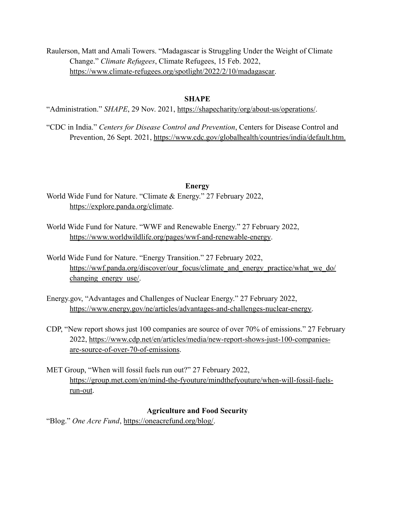Raulerson, Matt and Amali Towers. "Madagascar is Struggling Under the Weight of Climate Change." *Climate Refugees*, Climate Refugees, 15 Feb. 2022, [https://www.climate-refugees.org/spotlight/2022/2/10/madagascar.](https://www.climate-refugees.org/spotlight/2022/2/10/madagascar)

## **SHAPE**

"Administration." *SHAPE*, 29 Nov. 2021, https://shapecharity/org/about-us/operations/.

"CDC in India." *Centers for Disease Control and Prevention*, Centers for Disease Control and Prevention, 26 Sept. 2021, https://www.cdc.gov/globalhealth/countries/india/default.htm.

### **Energy**

World Wide Fund for Nature. "Climate & Energy." 27 February 2022, <https://explore.panda.org/climate>.

- World Wide Fund for Nature. "WWF and Renewable Energy." 27 February 2022, <https://www.worldwildlife.org/pages/wwf-and-renewable-energy>.
- World Wide Fund for Nature. "Energy Transition." 27 February 2022, [https://wwf.panda.org/discover/our\\_focus/climate\\_and\\_energy\\_practice/what\\_we\\_do/](https://wwf.panda.org/discover/our_focus/climate_and_energy_practice/what_we_do/changing_energy_use/) changing energy use/.
- Energy.gov, "Advantages and Challenges of Nuclear Energy." 27 February 2022, [https://www.energy.gov/ne/articles/advantages-and-challenges-nuclear-energy.](https://www.energy.gov/ne/articles/advantages-and-challenges-nuclear-energy)
- CDP, "New report shows just 100 companies are source of over 70% of emissions." 27 February 2022, [https://www.cdp.net/en/articles/media/new-report-shows-just-100-companies](https://www.cdp.net/en/articles/media/new-report-shows-just-100-companies-are-source-of-over-70-of-emissions)[are-source-of-over-70-of-emissions](https://www.cdp.net/en/articles/media/new-report-shows-just-100-companies-are-source-of-over-70-of-emissions).
- MET Group, "When will fossil fuels run out?" 27 February 2022, [https://group.met.com/en/mind-the-fyouture/mindthefyouture/when-will-fossil-fuels](https://group.met.com/en/mind-the-fyouture/mindthefyouture/when-will-fossil-fuels-run-out)[run-out](https://group.met.com/en/mind-the-fyouture/mindthefyouture/when-will-fossil-fuels-run-out).

## **Agriculture and Food Security**

"Blog." *One Acre Fund*, https://oneacrefund.org/blog/.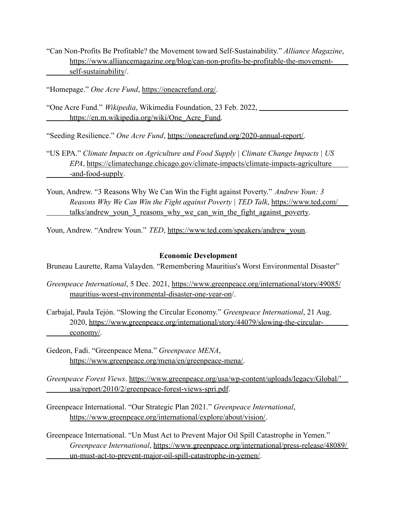"Can Non-Profits Be Profitable? the Movement toward Self-Sustainability." *Alliance Magazine*, https://www.alliancemagazine.org/blog/can-non-profits-be-profitable-the-movementself-sustainability/.

"Homepage." *One Acre Fund*, https://oneacrefund.org/.

"One Acre Fund." *Wikipedia*, Wikimedia Foundation, 23 Feb. 2022, https://en.m.wikipedia.org/wiki/One\_Acre\_Fund.

"Seeding Resilience." *One Acre Fund*, https://oneacrefund.org/2020-annual-report/.

- "US EPA." *Climate Impacts on Agriculture and Food Supply | Climate Change Impacts | US EPA*, <https://climatechange.chicago.gov/climate-impacts/climate->impacts-agriculture -and-food-supply.
- Youn, Andrew. "3 Reasons Why We Can Win the Fight against Poverty." *Andrew Youn: 3 Reasons Why We Can Win the Fight against Poverty | TED Talk*, <https://www.ted.com/> talks/andrew\_youn\_3\_reasons\_why\_we\_can\_win\_the\_fight\_against\_poverty.

Youn, Andrew. "Andrew Youn." *TED*, https://www.ted.com/speakers/andrew\_youn.

## **Economic Development**

Bruneau Laurette, Rama Valayden. "Remembering Mauritius's Worst Environmental Disaster"

- *Greenpeace International*, 5 Dec. 2021, [https://www.greenpeace.org/international/story/49085/](https://www.greenpeace.org/international/story/49085/mauritius-worst-environmental-) [mauritius-worst-environmental-](https://www.greenpeace.org/international/story/49085/mauritius-worst-environmental-)disaster-one-year-on/.
- Carbajal, Paula Tejón. "Slowing the Circular Economy." *Greenpeace International*, 21 Aug. 2020, [https://www.greenpeace.org/international/story/44079/slowing-the-circular](https://www.greenpeace.org/international/story/44079/slowing-the-circular-)economy/.
- Gedeon, Fadi. "Greenpeace Mena." *Greenpeace MENA*, https://www.greenpeace.org/mena/en/greenpeace-mena/.
- *Greenpeace Forest Views*. <https://www.greenpeace.org/usa/wp-content/uploads/legacy>/Global/' usa/report/2010/2/greenpeace-forest-views-spri.pdf.
- Greenpeace International. "Our Strategic Plan 2021." *Greenpeace International*, https://www.greenpeace.org/international/explore/about/vision/.
- Greenpeace International. "Un Must Act to Prevent Major Oil Spill Catastrophe in Yemen." *Greenpeace International*, [https://www.greenpeace.org/international/press-release/48089/](https://www.greenpeace.org/international/press-release/48089/un-must-) [un-must-](https://www.greenpeace.org/international/press-release/48089/un-must-)act-to-prevent-major-oil-spill-catastrophe-in-yemen/.